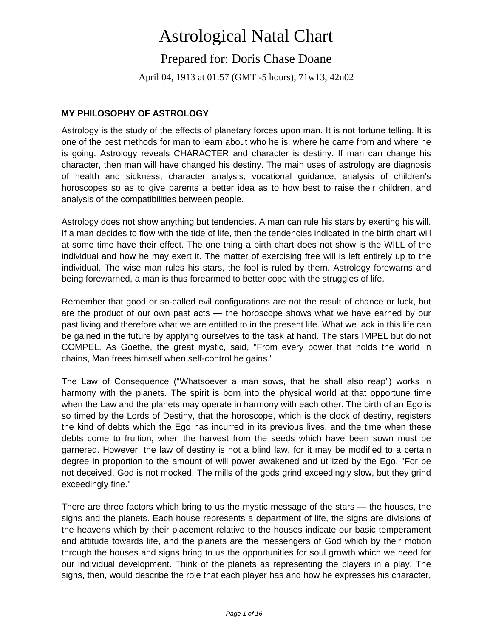# Astrological Natal Chart

## Prepared for: Doris Chase Doane

April 04, 1913 at 01:57 (GMT -5 hours), 71w13, 42n02

## **MY PHILOSOPHY OF ASTROLOGY**

Astrology is the study of the effects of planetary forces upon man. It is not fortune telling. It is one of the best methods for man to learn about who he is, where he came from and where he is going. Astrology reveals CHARACTER and character is destiny. If man can change his character, then man will have changed his destiny. The main uses of astrology are diagnosis of health and sickness, character analysis, vocational guidance, analysis of children's horoscopes so as to give parents a better idea as to how best to raise their children, and analysis of the compatibilities between people.

Astrology does not show anything but tendencies. A man can rule his stars by exerting his will. If a man decides to flow with the tide of life, then the tendencies indicated in the birth chart will at some time have their effect. The one thing a birth chart does not show is the WILL of the individual and how he may exert it. The matter of exercising free will is left entirely up to the individual. The wise man rules his stars, the fool is ruled by them. Astrology forewarns and being forewarned, a man is thus forearmed to better cope with the struggles of life.

Remember that good or so-called evil configurations are not the result of chance or luck, but are the product of our own past acts — the horoscope shows what we have earned by our past living and therefore what we are entitled to in the present life. What we lack in this life can be gained in the future by applying ourselves to the task at hand. The stars IMPEL but do not COMPEL. As Goethe, the great mystic, said, "From every power that holds the world in chains, Man frees himself when self-control he gains."

The Law of Consequence ("Whatsoever a man sows, that he shall also reap") works in harmony with the planets. The spirit is born into the physical world at that opportune time when the Law and the planets may operate in harmony with each other. The birth of an Ego is so timed by the Lords of Destiny, that the horoscope, which is the clock of destiny, registers the kind of debts which the Ego has incurred in its previous lives, and the time when these debts come to fruition, when the harvest from the seeds which have been sown must be garnered. However, the law of destiny is not a blind law, for it may be modified to a certain degree in proportion to the amount of will power awakened and utilized by the Ego. "For be not deceived, God is not mocked. The mills of the gods grind exceedingly slow, but they grind exceedingly fine."

There are three factors which bring to us the mystic message of the stars — the houses, the signs and the planets. Each house represents a department of life, the signs are divisions of the heavens which by their placement relative to the houses indicate our basic temperament and attitude towards life, and the planets are the messengers of God which by their motion through the houses and signs bring to us the opportunities for soul growth which we need for our individual development. Think of the planets as representing the players in a play. The signs, then, would describe the role that each player has and how he expresses his character,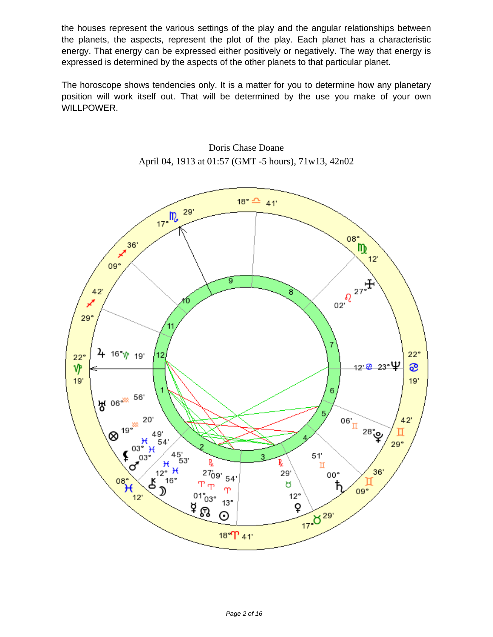the houses represent the various settings of the play and the angular relationships between the planets, the aspects, represent the plot of the play. Each planet has a characteristic energy. That energy can be expressed either positively or negatively. The way that energy is expressed is determined by the aspects of the other planets to that particular planet.

The horoscope shows tendencies only. It is a matter for you to determine how any planetary position will work itself out. That will be determined by the use you make of your own WILLPOWER.



Doris Chase Doane April 04, 1913 at 01:57 (GMT -5 hours), 71w13, 42n02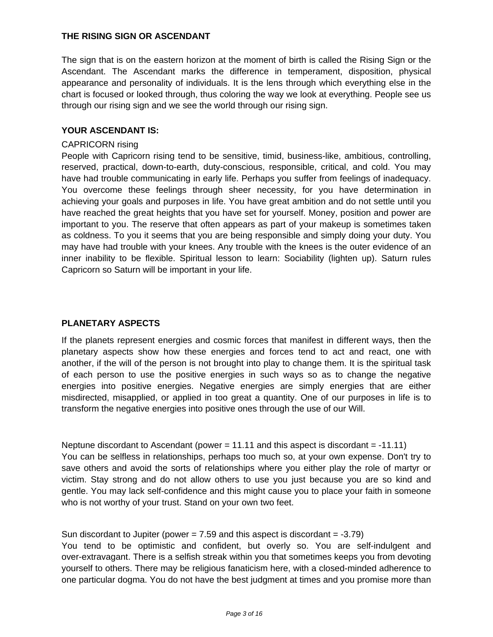## **THE RISING SIGN OR ASCENDANT**

The sign that is on the eastern horizon at the moment of birth is called the Rising Sign or the Ascendant. The Ascendant marks the difference in temperament, disposition, physical appearance and personality of individuals. It is the lens through which everything else in the chart is focused or looked through, thus coloring the way we look at everything. People see us through our rising sign and we see the world through our rising sign.

#### **YOUR ASCENDANT IS:**

#### CAPRICORN rising

People with Capricorn rising tend to be sensitive, timid, business-like, ambitious, controlling, reserved, practical, down-to-earth, duty-conscious, responsible, critical, and cold. You may have had trouble communicating in early life. Perhaps you suffer from feelings of inadequacy. You overcome these feelings through sheer necessity, for you have determination in achieving your goals and purposes in life. You have great ambition and do not settle until you have reached the great heights that you have set for yourself. Money, position and power are important to you. The reserve that often appears as part of your makeup is sometimes taken as coldness. To you it seems that you are being responsible and simply doing your duty. You may have had trouble with your knees. Any trouble with the knees is the outer evidence of an inner inability to be flexible. Spiritual lesson to learn: Sociability (lighten up). Saturn rules Capricorn so Saturn will be important in your life.

## **PLANETARY ASPECTS**

If the planets represent energies and cosmic forces that manifest in different ways, then the planetary aspects show how these energies and forces tend to act and react, one with another, if the will of the person is not brought into play to change them. It is the spiritual task of each person to use the positive energies in such ways so as to change the negative energies into positive energies. Negative energies are simply energies that are either misdirected, misapplied, or applied in too great a quantity. One of our purposes in life is to transform the negative energies into positive ones through the use of our Will.

Neptune discordant to Ascendant (power = 11.11 and this aspect is discordant = -11.11) You can be selfless in relationships, perhaps too much so, at your own expense. Don't try to save others and avoid the sorts of relationships where you either play the role of martyr or victim. Stay strong and do not allow others to use you just because you are so kind and gentle. You may lack self-confidence and this might cause you to place your faith in someone who is not worthy of your trust. Stand on your own two feet.

Sun discordant to Jupiter (power  $= 7.59$  and this aspect is discordant  $= -3.79$ )

You tend to be optimistic and confident, but overly so. You are self-indulgent and over-extravagant. There is a selfish streak within you that sometimes keeps you from devoting yourself to others. There may be religious fanaticism here, with a closed-minded adherence to one particular dogma. You do not have the best judgment at times and you promise more than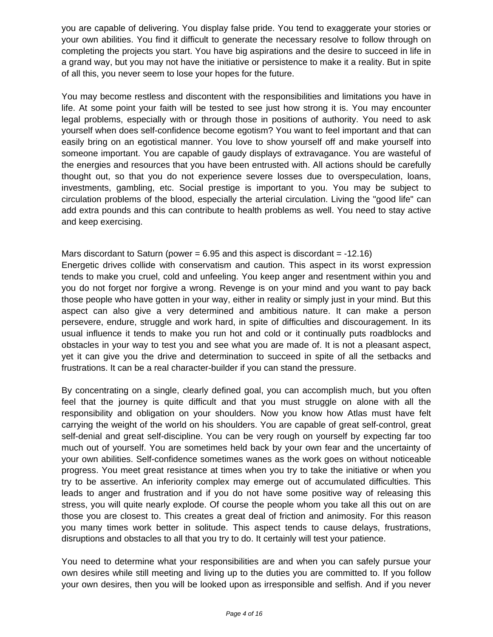you are capable of delivering. You display false pride. You tend to exaggerate your stories or your own abilities. You find it difficult to generate the necessary resolve to follow through on completing the projects you start. You have big aspirations and the desire to succeed in life in a grand way, but you may not have the initiative or persistence to make it a reality. But in spite of all this, you never seem to lose your hopes for the future.

You may become restless and discontent with the responsibilities and limitations you have in life. At some point your faith will be tested to see just how strong it is. You may encounter legal problems, especially with or through those in positions of authority. You need to ask yourself when does self-confidence become egotism? You want to feel important and that can easily bring on an egotistical manner. You love to show yourself off and make yourself into someone important. You are capable of gaudy displays of extravagance. You are wasteful of the energies and resources that you have been entrusted with. All actions should be carefully thought out, so that you do not experience severe losses due to overspeculation, loans, investments, gambling, etc. Social prestige is important to you. You may be subject to circulation problems of the blood, especially the arterial circulation. Living the "good life" can add extra pounds and this can contribute to health problems as well. You need to stay active and keep exercising.

# Mars discordant to Saturn (power  $= 6.95$  and this aspect is discordant  $= -12.16$ )

Energetic drives collide with conservatism and caution. This aspect in its worst expression tends to make you cruel, cold and unfeeling. You keep anger and resentment within you and you do not forget nor forgive a wrong. Revenge is on your mind and you want to pay back those people who have gotten in your way, either in reality or simply just in your mind. But this aspect can also give a very determined and ambitious nature. It can make a person persevere, endure, struggle and work hard, in spite of difficulties and discouragement. In its usual influence it tends to make you run hot and cold or it continually puts roadblocks and obstacles in your way to test you and see what you are made of. It is not a pleasant aspect, yet it can give you the drive and determination to succeed in spite of all the setbacks and frustrations. It can be a real character-builder if you can stand the pressure.

By concentrating on a single, clearly defined goal, you can accomplish much, but you often feel that the journey is quite difficult and that you must struggle on alone with all the responsibility and obligation on your shoulders. Now you know how Atlas must have felt carrying the weight of the world on his shoulders. You are capable of great self-control, great self-denial and great self-discipline. You can be very rough on yourself by expecting far too much out of yourself. You are sometimes held back by your own fear and the uncertainty of your own abilities. Self-confidence sometimes wanes as the work goes on without noticeable progress. You meet great resistance at times when you try to take the initiative or when you try to be assertive. An inferiority complex may emerge out of accumulated difficulties. This leads to anger and frustration and if you do not have some positive way of releasing this stress, you will quite nearly explode. Of course the people whom you take all this out on are those you are closest to. This creates a great deal of friction and animosity. For this reason you many times work better in solitude. This aspect tends to cause delays, frustrations, disruptions and obstacles to all that you try to do. It certainly will test your patience.

You need to determine what your responsibilities are and when you can safely pursue your own desires while still meeting and living up to the duties you are committed to. If you follow your own desires, then you will be looked upon as irresponsible and selfish. And if you never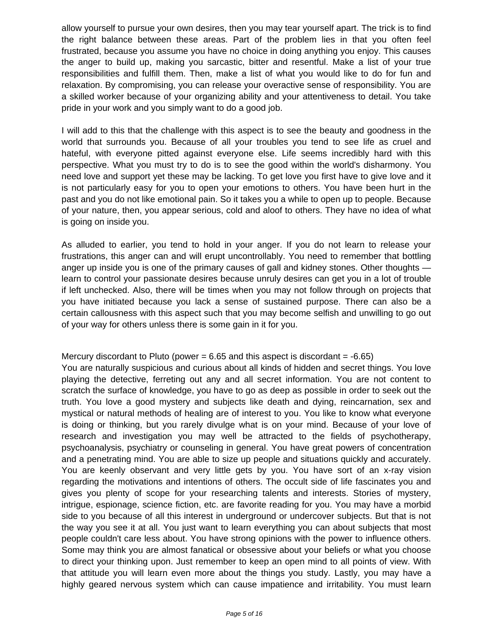allow yourself to pursue your own desires, then you may tear yourself apart. The trick is to find the right balance between these areas. Part of the problem lies in that you often feel frustrated, because you assume you have no choice in doing anything you enjoy. This causes the anger to build up, making you sarcastic, bitter and resentful. Make a list of your true responsibilities and fulfill them. Then, make a list of what you would like to do for fun and relaxation. By compromising, you can release your overactive sense of responsibility. You are a skilled worker because of your organizing ability and your attentiveness to detail. You take pride in your work and you simply want to do a good job.

I will add to this that the challenge with this aspect is to see the beauty and goodness in the world that surrounds you. Because of all your troubles you tend to see life as cruel and hateful, with everyone pitted against everyone else. Life seems incredibly hard with this perspective. What you must try to do is to see the good within the world's disharmony. You need love and support yet these may be lacking. To get love you first have to give love and it is not particularly easy for you to open your emotions to others. You have been hurt in the past and you do not like emotional pain. So it takes you a while to open up to people. Because of your nature, then, you appear serious, cold and aloof to others. They have no idea of what is going on inside you.

As alluded to earlier, you tend to hold in your anger. If you do not learn to release your frustrations, this anger can and will erupt uncontrollably. You need to remember that bottling anger up inside you is one of the primary causes of gall and kidney stones. Other thoughts learn to control your passionate desires because unruly desires can get you in a lot of trouble if left unchecked. Also, there will be times when you may not follow through on projects that you have initiated because you lack a sense of sustained purpose. There can also be a certain callousness with this aspect such that you may become selfish and unwilling to go out of your way for others unless there is some gain in it for you.

## Mercury discordant to Pluto (power  $= 6.65$  and this aspect is discordant  $= -6.65$ )

You are naturally suspicious and curious about all kinds of hidden and secret things. You love playing the detective, ferreting out any and all secret information. You are not content to scratch the surface of knowledge, you have to go as deep as possible in order to seek out the truth. You love a good mystery and subjects like death and dying, reincarnation, sex and mystical or natural methods of healing are of interest to you. You like to know what everyone is doing or thinking, but you rarely divulge what is on your mind. Because of your love of research and investigation you may well be attracted to the fields of psychotherapy, psychoanalysis, psychiatry or counseling in general. You have great powers of concentration and a penetrating mind. You are able to size up people and situations quickly and accurately. You are keenly observant and very little gets by you. You have sort of an x-ray vision regarding the motivations and intentions of others. The occult side of life fascinates you and gives you plenty of scope for your researching talents and interests. Stories of mystery, intrigue, espionage, science fiction, etc. are favorite reading for you. You may have a morbid side to you because of all this interest in underground or undercover subjects. But that is not the way you see it at all. You just want to learn everything you can about subjects that most people couldn't care less about. You have strong opinions with the power to influence others. Some may think you are almost fanatical or obsessive about your beliefs or what you choose to direct your thinking upon. Just remember to keep an open mind to all points of view. With that attitude you will learn even more about the things you study. Lastly, you may have a highly geared nervous system which can cause impatience and irritability. You must learn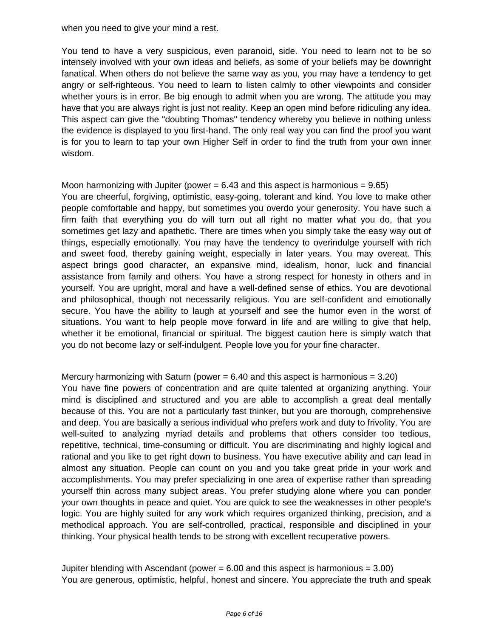when you need to give your mind a rest.

You tend to have a very suspicious, even paranoid, side. You need to learn not to be so intensely involved with your own ideas and beliefs, as some of your beliefs may be downright fanatical. When others do not believe the same way as you, you may have a tendency to get angry or self-righteous. You need to learn to listen calmly to other viewpoints and consider whether yours is in error. Be big enough to admit when you are wrong. The attitude you may have that you are always right is just not reality. Keep an open mind before ridiculing any idea. This aspect can give the "doubting Thomas" tendency whereby you believe in nothing unless the evidence is displayed to you first-hand. The only real way you can find the proof you want is for you to learn to tap your own Higher Self in order to find the truth from your own inner wisdom.

## Moon harmonizing with Jupiter (power  $= 6.43$  and this aspect is harmonious  $= 9.65$ ) You are cheerful, forgiving, optimistic, easy-going, tolerant and kind. You love to make other people comfortable and happy, but sometimes you overdo your generosity. You have such a firm faith that everything you do will turn out all right no matter what you do, that you sometimes get lazy and apathetic. There are times when you simply take the easy way out of things, especially emotionally. You may have the tendency to overindulge yourself with rich and sweet food, thereby gaining weight, especially in later years. You may overeat. This aspect brings good character, an expansive mind, idealism, honor, luck and financial assistance from family and others. You have a strong respect for honesty in others and in yourself. You are upright, moral and have a well-defined sense of ethics. You are devotional and philosophical, though not necessarily religious. You are self-confident and emotionally secure. You have the ability to laugh at yourself and see the humor even in the worst of situations. You want to help people move forward in life and are willing to give that help, whether it be emotional, financial or spiritual. The biggest caution here is simply watch that you do not become lazy or self-indulgent. People love you for your fine character.

Mercury harmonizing with Saturn (power  $= 6.40$  and this aspect is harmonious  $= 3.20$ ) You have fine powers of concentration and are quite talented at organizing anything. Your mind is disciplined and structured and you are able to accomplish a great deal mentally because of this. You are not a particularly fast thinker, but you are thorough, comprehensive and deep. You are basically a serious individual who prefers work and duty to frivolity. You are well-suited to analyzing myriad details and problems that others consider too tedious, repetitive, technical, time-consuming or difficult. You are discriminating and highly logical and rational and you like to get right down to business. You have executive ability and can lead in almost any situation. People can count on you and you take great pride in your work and accomplishments. You may prefer specializing in one area of expertise rather than spreading yourself thin across many subject areas. You prefer studying alone where you can ponder your own thoughts in peace and quiet. You are quick to see the weaknesses in other people's logic. You are highly suited for any work which requires organized thinking, precision, and a methodical approach. You are self-controlled, practical, responsible and disciplined in your thinking. Your physical health tends to be strong with excellent recuperative powers.

Jupiter blending with Ascendant (power  $= 6.00$  and this aspect is harmonious  $= 3.00$ ) You are generous, optimistic, helpful, honest and sincere. You appreciate the truth and speak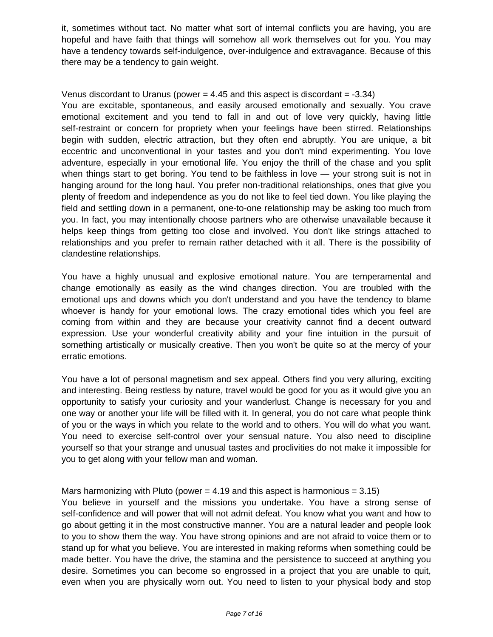it, sometimes without tact. No matter what sort of internal conflicts you are having, you are hopeful and have faith that things will somehow all work themselves out for you. You may have a tendency towards self-indulgence, over-indulgence and extravagance. Because of this there may be a tendency to gain weight.

#### Venus discordant to Uranus (power  $= 4.45$  and this aspect is discordant  $= -3.34$ )

You are excitable, spontaneous, and easily aroused emotionally and sexually. You crave emotional excitement and you tend to fall in and out of love very quickly, having little self-restraint or concern for propriety when your feelings have been stirred. Relationships begin with sudden, electric attraction, but they often end abruptly. You are unique, a bit eccentric and unconventional in your tastes and you don't mind experimenting. You love adventure, especially in your emotional life. You enjoy the thrill of the chase and you split when things start to get boring. You tend to be faithless in love — your strong suit is not in hanging around for the long haul. You prefer non-traditional relationships, ones that give you plenty of freedom and independence as you do not like to feel tied down. You like playing the field and settling down in a permanent, one-to-one relationship may be asking too much from you. In fact, you may intentionally choose partners who are otherwise unavailable because it helps keep things from getting too close and involved. You don't like strings attached to relationships and you prefer to remain rather detached with it all. There is the possibility of clandestine relationships.

You have a highly unusual and explosive emotional nature. You are temperamental and change emotionally as easily as the wind changes direction. You are troubled with the emotional ups and downs which you don't understand and you have the tendency to blame whoever is handy for your emotional lows. The crazy emotional tides which you feel are coming from within and they are because your creativity cannot find a decent outward expression. Use your wonderful creativity ability and your fine intuition in the pursuit of something artistically or musically creative. Then you won't be quite so at the mercy of your erratic emotions.

You have a lot of personal magnetism and sex appeal. Others find you very alluring, exciting and interesting. Being restless by nature, travel would be good for you as it would give you an opportunity to satisfy your curiosity and your wanderlust. Change is necessary for you and one way or another your life will be filled with it. In general, you do not care what people think of you or the ways in which you relate to the world and to others. You will do what you want. You need to exercise self-control over your sensual nature. You also need to discipline yourself so that your strange and unusual tastes and proclivities do not make it impossible for you to get along with your fellow man and woman.

## Mars harmonizing with Pluto (power  $= 4.19$  and this aspect is harmonious  $= 3.15$ )

You believe in yourself and the missions you undertake. You have a strong sense of self-confidence and will power that will not admit defeat. You know what you want and how to go about getting it in the most constructive manner. You are a natural leader and people look to you to show them the way. You have strong opinions and are not afraid to voice them or to stand up for what you believe. You are interested in making reforms when something could be made better. You have the drive, the stamina and the persistence to succeed at anything you desire. Sometimes you can become so engrossed in a project that you are unable to quit, even when you are physically worn out. You need to listen to your physical body and stop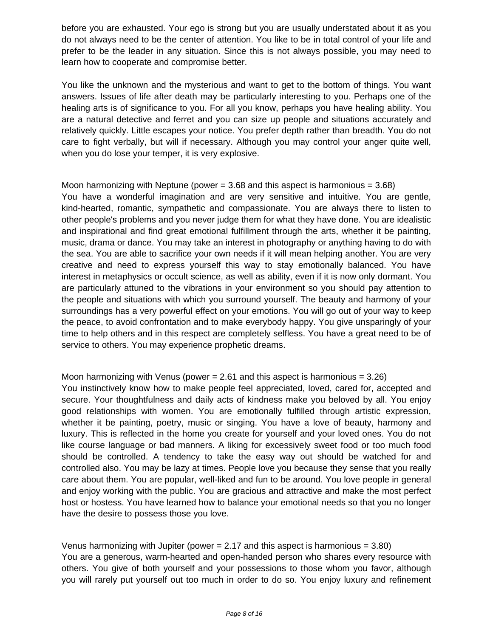before you are exhausted. Your ego is strong but you are usually understated about it as you do not always need to be the center of attention. You like to be in total control of your life and prefer to be the leader in any situation. Since this is not always possible, you may need to learn how to cooperate and compromise better.

You like the unknown and the mysterious and want to get to the bottom of things. You want answers. Issues of life after death may be particularly interesting to you. Perhaps one of the healing arts is of significance to you. For all you know, perhaps you have healing ability. You are a natural detective and ferret and you can size up people and situations accurately and relatively quickly. Little escapes your notice. You prefer depth rather than breadth. You do not care to fight verbally, but will if necessary. Although you may control your anger quite well, when you do lose your temper, it is very explosive.

Moon harmonizing with Neptune (power  $= 3.68$  and this aspect is harmonious  $= 3.68$ ) You have a wonderful imagination and are very sensitive and intuitive. You are gentle, kind-hearted, romantic, sympathetic and compassionate. You are always there to listen to other people's problems and you never judge them for what they have done. You are idealistic and inspirational and find great emotional fulfillment through the arts, whether it be painting, music, drama or dance. You may take an interest in photography or anything having to do with the sea. You are able to sacrifice your own needs if it will mean helping another. You are very creative and need to express yourself this way to stay emotionally balanced. You have interest in metaphysics or occult science, as well as ability, even if it is now only dormant. You are particularly attuned to the vibrations in your environment so you should pay attention to the people and situations with which you surround yourself. The beauty and harmony of your surroundings has a very powerful effect on your emotions. You will go out of your way to keep the peace, to avoid confrontation and to make everybody happy. You give unsparingly of your time to help others and in this respect are completely selfless. You have a great need to be of service to others. You may experience prophetic dreams.

Moon harmonizing with Venus (power  $= 2.61$  and this aspect is harmonious  $= 3.26$ ) You instinctively know how to make people feel appreciated, loved, cared for, accepted and secure. Your thoughtfulness and daily acts of kindness make you beloved by all. You enjoy good relationships with women. You are emotionally fulfilled through artistic expression, whether it be painting, poetry, music or singing. You have a love of beauty, harmony and luxury. This is reflected in the home you create for yourself and your loved ones. You do not like course language or bad manners. A liking for excessively sweet food or too much food should be controlled. A tendency to take the easy way out should be watched for and controlled also. You may be lazy at times. People love you because they sense that you really care about them. You are popular, well-liked and fun to be around. You love people in general and enjoy working with the public. You are gracious and attractive and make the most perfect host or hostess. You have learned how to balance your emotional needs so that you no longer have the desire to possess those you love.

Venus harmonizing with Jupiter (power  $= 2.17$  and this aspect is harmonious  $= 3.80$ ) You are a generous, warm-hearted and open-handed person who shares every resource with others. You give of both yourself and your possessions to those whom you favor, although you will rarely put yourself out too much in order to do so. You enjoy luxury and refinement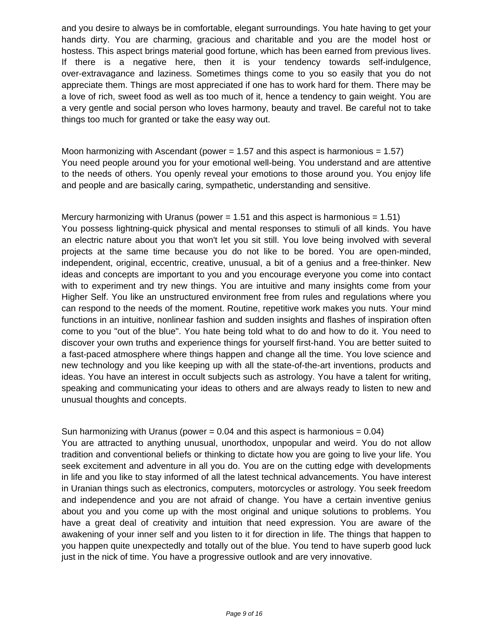and you desire to always be in comfortable, elegant surroundings. You hate having to get your hands dirty. You are charming, gracious and charitable and you are the model host or hostess. This aspect brings material good fortune, which has been earned from previous lives. If there is a negative here, then it is your tendency towards self-indulgence, over-extravagance and laziness. Sometimes things come to you so easily that you do not appreciate them. Things are most appreciated if one has to work hard for them. There may be a love of rich, sweet food as well as too much of it, hence a tendency to gain weight. You are a very gentle and social person who loves harmony, beauty and travel. Be careful not to take things too much for granted or take the easy way out.

Moon harmonizing with Ascendant (power  $= 1.57$  and this aspect is harmonious  $= 1.57$ ) You need people around you for your emotional well-being. You understand and are attentive to the needs of others. You openly reveal your emotions to those around you. You enjoy life and people and are basically caring, sympathetic, understanding and sensitive.

Mercury harmonizing with Uranus (power  $= 1.51$  and this aspect is harmonious  $= 1.51$ ) You possess lightning-quick physical and mental responses to stimuli of all kinds. You have an electric nature about you that won't let you sit still. You love being involved with several projects at the same time because you do not like to be bored. You are open-minded, independent, original, eccentric, creative, unusual, a bit of a genius and a free-thinker. New ideas and concepts are important to you and you encourage everyone you come into contact with to experiment and try new things. You are intuitive and many insights come from your Higher Self. You like an unstructured environment free from rules and regulations where you can respond to the needs of the moment. Routine, repetitive work makes you nuts. Your mind functions in an intuitive, nonlinear fashion and sudden insights and flashes of inspiration often come to you "out of the blue". You hate being told what to do and how to do it. You need to discover your own truths and experience things for yourself first-hand. You are better suited to a fast-paced atmosphere where things happen and change all the time. You love science and new technology and you like keeping up with all the state-of-the-art inventions, products and ideas. You have an interest in occult subjects such as astrology. You have a talent for writing, speaking and communicating your ideas to others and are always ready to listen to new and unusual thoughts and concepts.

## Sun harmonizing with Uranus (power  $= 0.04$  and this aspect is harmonious  $= 0.04$ )

You are attracted to anything unusual, unorthodox, unpopular and weird. You do not allow tradition and conventional beliefs or thinking to dictate how you are going to live your life. You seek excitement and adventure in all you do. You are on the cutting edge with developments in life and you like to stay informed of all the latest technical advancements. You have interest in Uranian things such as electronics, computers, motorcycles or astrology. You seek freedom and independence and you are not afraid of change. You have a certain inventive genius about you and you come up with the most original and unique solutions to problems. You have a great deal of creativity and intuition that need expression. You are aware of the awakening of your inner self and you listen to it for direction in life. The things that happen to you happen quite unexpectedly and totally out of the blue. You tend to have superb good luck just in the nick of time. You have a progressive outlook and are very innovative.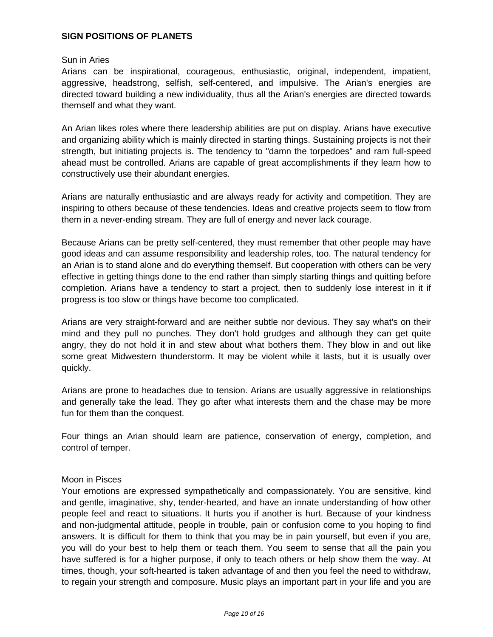### **SIGN POSITIONS OF PLANETS**

#### Sun in Aries

Arians can be inspirational, courageous, enthusiastic, original, independent, impatient, aggressive, headstrong, selfish, self-centered, and impulsive. The Arian's energies are directed toward building a new individuality, thus all the Arian's energies are directed towards themself and what they want.

An Arian likes roles where there leadership abilities are put on display. Arians have executive and organizing ability which is mainly directed in starting things. Sustaining projects is not their strength, but initiating projects is. The tendency to "damn the torpedoes" and ram full-speed ahead must be controlled. Arians are capable of great accomplishments if they learn how to constructively use their abundant energies.

Arians are naturally enthusiastic and are always ready for activity and competition. They are inspiring to others because of these tendencies. Ideas and creative projects seem to flow from them in a never-ending stream. They are full of energy and never lack courage.

Because Arians can be pretty self-centered, they must remember that other people may have good ideas and can assume responsibility and leadership roles, too. The natural tendency for an Arian is to stand alone and do everything themself. But cooperation with others can be very effective in getting things done to the end rather than simply starting things and quitting before completion. Arians have a tendency to start a project, then to suddenly lose interest in it if progress is too slow or things have become too complicated.

Arians are very straight-forward and are neither subtle nor devious. They say what's on their mind and they pull no punches. They don't hold grudges and although they can get quite angry, they do not hold it in and stew about what bothers them. They blow in and out like some great Midwestern thunderstorm. It may be violent while it lasts, but it is usually over quickly.

Arians are prone to headaches due to tension. Arians are usually aggressive in relationships and generally take the lead. They go after what interests them and the chase may be more fun for them than the conquest.

Four things an Arian should learn are patience, conservation of energy, completion, and control of temper.

#### Moon in Pisces

Your emotions are expressed sympathetically and compassionately. You are sensitive, kind and gentle, imaginative, shy, tender-hearted, and have an innate understanding of how other people feel and react to situations. It hurts you if another is hurt. Because of your kindness and non-judgmental attitude, people in trouble, pain or confusion come to you hoping to find answers. It is difficult for them to think that you may be in pain yourself, but even if you are, you will do your best to help them or teach them. You seem to sense that all the pain you have suffered is for a higher purpose, if only to teach others or help show them the way. At times, though, your soft-hearted is taken advantage of and then you feel the need to withdraw, to regain your strength and composure. Music plays an important part in your life and you are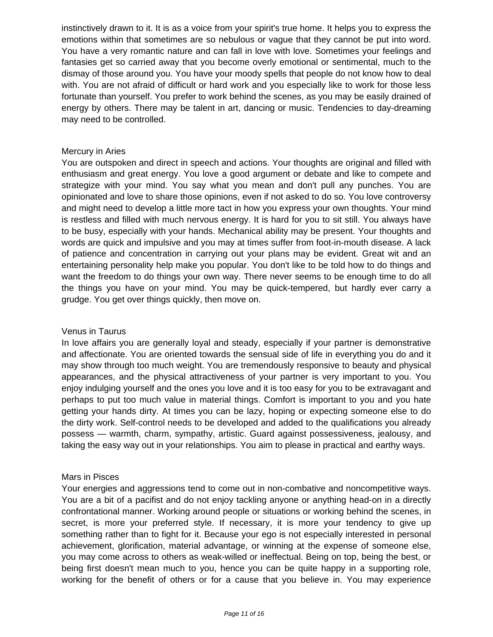instinctively drawn to it. It is as a voice from your spirit's true home. It helps you to express the emotions within that sometimes are so nebulous or vague that they cannot be put into word. You have a very romantic nature and can fall in love with love. Sometimes your feelings and fantasies get so carried away that you become overly emotional or sentimental, much to the dismay of those around you. You have your moody spells that people do not know how to deal with. You are not afraid of difficult or hard work and you especially like to work for those less fortunate than yourself. You prefer to work behind the scenes, as you may be easily drained of energy by others. There may be talent in art, dancing or music. Tendencies to day-dreaming may need to be controlled.

#### Mercury in Aries

You are outspoken and direct in speech and actions. Your thoughts are original and filled with enthusiasm and great energy. You love a good argument or debate and like to compete and strategize with your mind. You say what you mean and don't pull any punches. You are opinionated and love to share those opinions, even if not asked to do so. You love controversy and might need to develop a little more tact in how you express your own thoughts. Your mind is restless and filled with much nervous energy. It is hard for you to sit still. You always have to be busy, especially with your hands. Mechanical ability may be present. Your thoughts and words are quick and impulsive and you may at times suffer from foot-in-mouth disease. A lack of patience and concentration in carrying out your plans may be evident. Great wit and an entertaining personality help make you popular. You don't like to be told how to do things and want the freedom to do things your own way. There never seems to be enough time to do all the things you have on your mind. You may be quick-tempered, but hardly ever carry a grudge. You get over things quickly, then move on.

## Venus in Taurus

In love affairs you are generally loyal and steady, especially if your partner is demonstrative and affectionate. You are oriented towards the sensual side of life in everything you do and it may show through too much weight. You are tremendously responsive to beauty and physical appearances, and the physical attractiveness of your partner is very important to you. You enjoy indulging yourself and the ones you love and it is too easy for you to be extravagant and perhaps to put too much value in material things. Comfort is important to you and you hate getting your hands dirty. At times you can be lazy, hoping or expecting someone else to do the dirty work. Self-control needs to be developed and added to the qualifications you already possess — warmth, charm, sympathy, artistic. Guard against possessiveness, jealousy, and taking the easy way out in your relationships. You aim to please in practical and earthy ways.

## Mars in Pisces

Your energies and aggressions tend to come out in non-combative and noncompetitive ways. You are a bit of a pacifist and do not enjoy tackling anyone or anything head-on in a directly confrontational manner. Working around people or situations or working behind the scenes, in secret, is more your preferred style. If necessary, it is more your tendency to give up something rather than to fight for it. Because your ego is not especially interested in personal achievement, glorification, material advantage, or winning at the expense of someone else, you may come across to others as weak-willed or ineffectual. Being on top, being the best, or being first doesn't mean much to you, hence you can be quite happy in a supporting role, working for the benefit of others or for a cause that you believe in. You may experience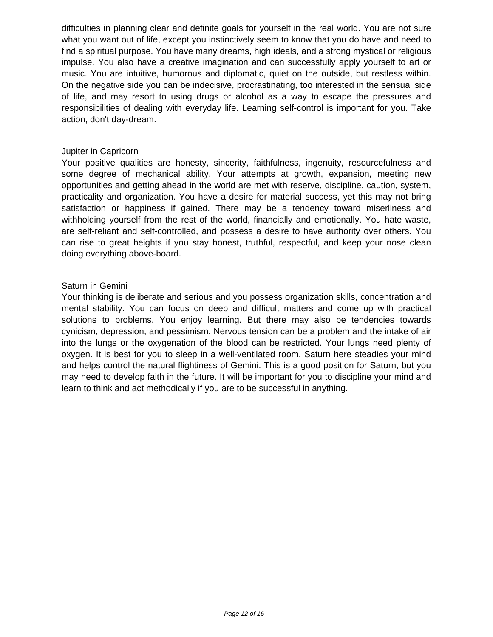difficulties in planning clear and definite goals for yourself in the real world. You are not sure what you want out of life, except you instinctively seem to know that you do have and need to find a spiritual purpose. You have many dreams, high ideals, and a strong mystical or religious impulse. You also have a creative imagination and can successfully apply yourself to art or music. You are intuitive, humorous and diplomatic, quiet on the outside, but restless within. On the negative side you can be indecisive, procrastinating, too interested in the sensual side of life, and may resort to using drugs or alcohol as a way to escape the pressures and responsibilities of dealing with everyday life. Learning self-control is important for you. Take action, don't day-dream.

#### Jupiter in Capricorn

Your positive qualities are honesty, sincerity, faithfulness, ingenuity, resourcefulness and some degree of mechanical ability. Your attempts at growth, expansion, meeting new opportunities and getting ahead in the world are met with reserve, discipline, caution, system, practicality and organization. You have a desire for material success, yet this may not bring satisfaction or happiness if gained. There may be a tendency toward miserliness and withholding yourself from the rest of the world, financially and emotionally. You hate waste, are self-reliant and self-controlled, and possess a desire to have authority over others. You can rise to great heights if you stay honest, truthful, respectful, and keep your nose clean doing everything above-board.

## Saturn in Gemini

Your thinking is deliberate and serious and you possess organization skills, concentration and mental stability. You can focus on deep and difficult matters and come up with practical solutions to problems. You enjoy learning. But there may also be tendencies towards cynicism, depression, and pessimism. Nervous tension can be a problem and the intake of air into the lungs or the oxygenation of the blood can be restricted. Your lungs need plenty of oxygen. It is best for you to sleep in a well-ventilated room. Saturn here steadies your mind and helps control the natural flightiness of Gemini. This is a good position for Saturn, but you may need to develop faith in the future. It will be important for you to discipline your mind and learn to think and act methodically if you are to be successful in anything.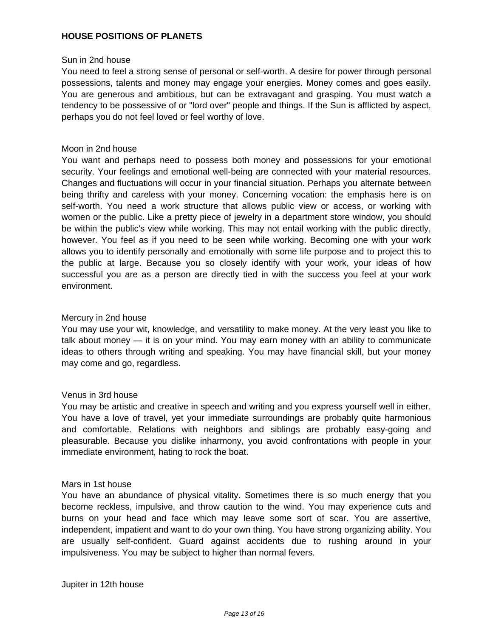## **HOUSE POSITIONS OF PLANETS**

#### Sun in 2nd house

You need to feel a strong sense of personal or self-worth. A desire for power through personal possessions, talents and money may engage your energies. Money comes and goes easily. You are generous and ambitious, but can be extravagant and grasping. You must watch a tendency to be possessive of or "lord over" people and things. If the Sun is afflicted by aspect, perhaps you do not feel loved or feel worthy of love.

#### Moon in 2nd house

You want and perhaps need to possess both money and possessions for your emotional security. Your feelings and emotional well-being are connected with your material resources. Changes and fluctuations will occur in your financial situation. Perhaps you alternate between being thrifty and careless with your money. Concerning vocation: the emphasis here is on self-worth. You need a work structure that allows public view or access, or working with women or the public. Like a pretty piece of jewelry in a department store window, you should be within the public's view while working. This may not entail working with the public directly, however. You feel as if you need to be seen while working. Becoming one with your work allows you to identify personally and emotionally with some life purpose and to project this to the public at large. Because you so closely identify with your work, your ideas of how successful you are as a person are directly tied in with the success you feel at your work environment.

#### Mercury in 2nd house

You may use your wit, knowledge, and versatility to make money. At the very least you like to talk about money — it is on your mind. You may earn money with an ability to communicate ideas to others through writing and speaking. You may have financial skill, but your money may come and go, regardless.

#### Venus in 3rd house

You may be artistic and creative in speech and writing and you express yourself well in either. You have a love of travel, yet your immediate surroundings are probably quite harmonious and comfortable. Relations with neighbors and siblings are probably easy-going and pleasurable. Because you dislike inharmony, you avoid confrontations with people in your immediate environment, hating to rock the boat.

#### Mars in 1st house

You have an abundance of physical vitality. Sometimes there is so much energy that you become reckless, impulsive, and throw caution to the wind. You may experience cuts and burns on your head and face which may leave some sort of scar. You are assertive, independent, impatient and want to do your own thing. You have strong organizing ability. You are usually self-confident. Guard against accidents due to rushing around in your impulsiveness. You may be subject to higher than normal fevers.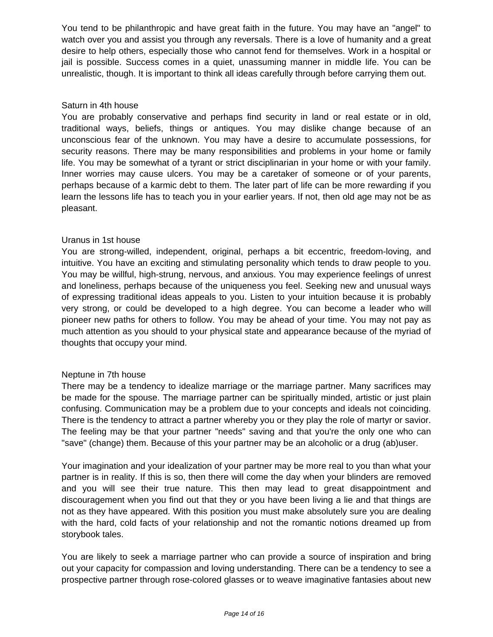You tend to be philanthropic and have great faith in the future. You may have an "angel" to watch over you and assist you through any reversals. There is a love of humanity and a great desire to help others, especially those who cannot fend for themselves. Work in a hospital or jail is possible. Success comes in a quiet, unassuming manner in middle life. You can be unrealistic, though. It is important to think all ideas carefully through before carrying them out.

#### Saturn in 4th house

You are probably conservative and perhaps find security in land or real estate or in old, traditional ways, beliefs, things or antiques. You may dislike change because of an unconscious fear of the unknown. You may have a desire to accumulate possessions, for security reasons. There may be many responsibilities and problems in your home or family life. You may be somewhat of a tyrant or strict disciplinarian in your home or with your family. Inner worries may cause ulcers. You may be a caretaker of someone or of your parents, perhaps because of a karmic debt to them. The later part of life can be more rewarding if you learn the lessons life has to teach you in your earlier years. If not, then old age may not be as pleasant.

#### Uranus in 1st house

You are strong-willed, independent, original, perhaps a bit eccentric, freedom-loving, and intuitive. You have an exciting and stimulating personality which tends to draw people to you. You may be willful, high-strung, nervous, and anxious. You may experience feelings of unrest and loneliness, perhaps because of the uniqueness you feel. Seeking new and unusual ways of expressing traditional ideas appeals to you. Listen to your intuition because it is probably very strong, or could be developed to a high degree. You can become a leader who will pioneer new paths for others to follow. You may be ahead of your time. You may not pay as much attention as you should to your physical state and appearance because of the myriad of thoughts that occupy your mind.

#### Neptune in 7th house

There may be a tendency to idealize marriage or the marriage partner. Many sacrifices may be made for the spouse. The marriage partner can be spiritually minded, artistic or just plain confusing. Communication may be a problem due to your concepts and ideals not coinciding. There is the tendency to attract a partner whereby you or they play the role of martyr or savior. The feeling may be that your partner "needs" saving and that you're the only one who can "save" (change) them. Because of this your partner may be an alcoholic or a drug (ab)user.

Your imagination and your idealization of your partner may be more real to you than what your partner is in reality. If this is so, then there will come the day when your blinders are removed and you will see their true nature. This then may lead to great disappointment and discouragement when you find out that they or you have been living a lie and that things are not as they have appeared. With this position you must make absolutely sure you are dealing with the hard, cold facts of your relationship and not the romantic notions dreamed up from storybook tales.

You are likely to seek a marriage partner who can provide a source of inspiration and bring out your capacity for compassion and loving understanding. There can be a tendency to see a prospective partner through rose-colored glasses or to weave imaginative fantasies about new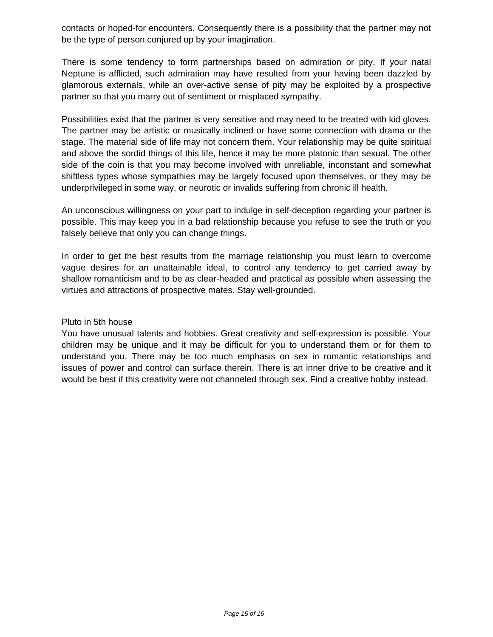contacts or hoped-for encounters. Consequently there is a possibility that the partner may not be the type of person conjured up by your imagination.

There is some tendency to form partnerships based on admiration or pity. If your natal Neptune is afflicted, such admiration may have resulted from your having been dazzled by glamorous externals, while an over-active sense of pity may be exploited by a prospective partner so that you marry out of sentiment or misplaced sympathy.

Possibilities exist that the partner is very sensitive and may need to be treated with kid gloves. The partner may be artistic or musically inclined or have some connection with drama or the stage. The material side of life may not concern them. Your relationship may be quite spiritual and above the sordid things of this life, hence it may be more platonic than sexual. The other side of the coin is that you may become involved with unreliable, inconstant and somewhat shiftless types whose sympathies may be largely focused upon themselves, or they may be underprivileged in some way, or neurotic or invalids suffering from chronic ill health.

An unconscious willingness on your part to indulge in self-deception regarding your partner is possible. This may keep you in a bad relationship because you refuse to see the truth or you falsely believe that only you can change things.

In order to get the best results from the marriage relationship you must learn to overcome vague desires for an unattainable ideal, to control any tendency to get carried away by shallow romanticism and to be as clear-headed and practical as possible when assessing the virtues and attractions of prospective mates. Stay well-grounded.

#### Pluto in 5th house

You have unusual talents and hobbies. Great creativity and self-expression is possible. Your children may be unique and it may be difficult for you to understand them or for them to understand you. There may be too much emphasis on sex in romantic relationships and issues of power and control can surface therein. There is an inner drive to be creative and it would be best if this creativity were not channeled through sex. Find a creative hobby instead.